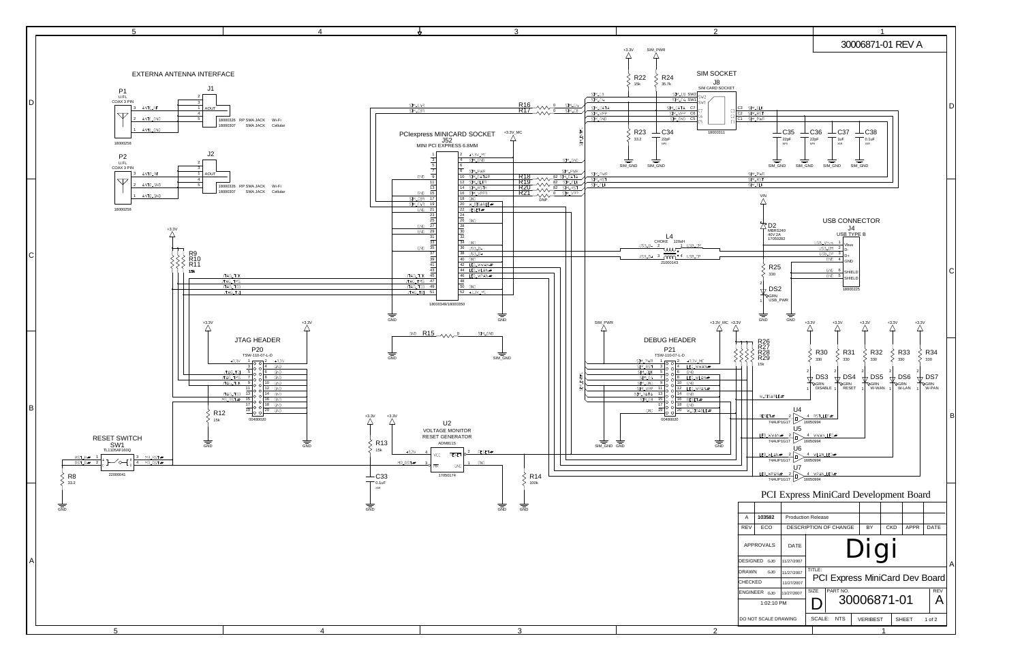